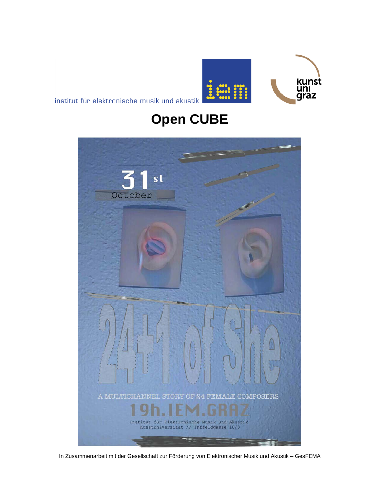

institut für elektronische musik und akustik

## **Open CUBE**



In Zusammenarbeit mit der Gesellschaft zur Förderung von Elektronischer Musik und Akustik – GesFEMA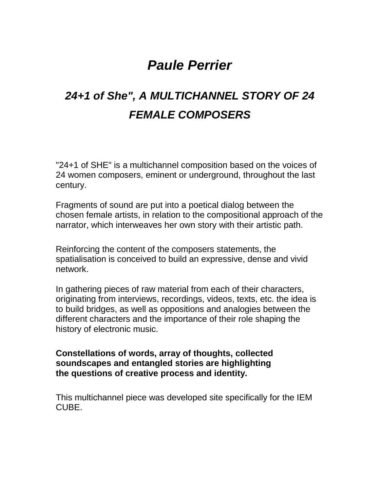## *Paule Perrier*

## *24+1 of She", A MULTICHANNEL STORY OF 24 FEMALE COMPOSERS*

"24+1 of SHE" is a multichannel composition based on the voices of 24 women composers, eminent or underground, throughout the last century.

Fragments of sound are put into a poetical dialog between the chosen female artists, in relation to the compositional approach of the narrator, which interweaves her own story with their artistic path.

Reinforcing the content of the composers statements, the spatialisation is conceived to build an expressive, dense and vivid network.

In gathering pieces of raw material from each of their characters, originating from interviews, recordings, videos, texts, etc. the idea is to build bridges, as well as oppositions and analogies between the different characters and the importance of their role shaping the history of electronic music.

**Constellations of words, array of thoughts, collected soundscapes and entangled stories are highlighting the questions of creative process and identity.**

This multichannel piece was developed site specifically for the IEM CUBE.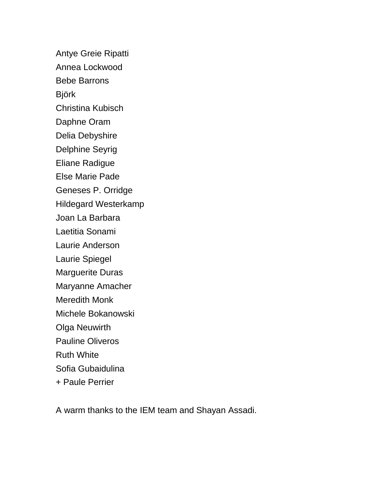Antye Greie Ripatti Annea Lockwood Bebe Barrons Björk Christina Kubisch Daphne Oram Delia Debyshire Delphine Seyrig Eliane Radigue Else Marie Pade Geneses P. Orridge Hildegard Westerkamp Joan La Barbara Laetitia Sonami Laurie Anderson Laurie Spiegel Marguerite Duras Maryanne Amacher Meredith Monk Michele Bokanowski Olga Neuwirth Pauline Oliveros Ruth White Sofia Gubaidulina + Paule Perrier

A warm thanks to the IEM team and Shayan Assadi.